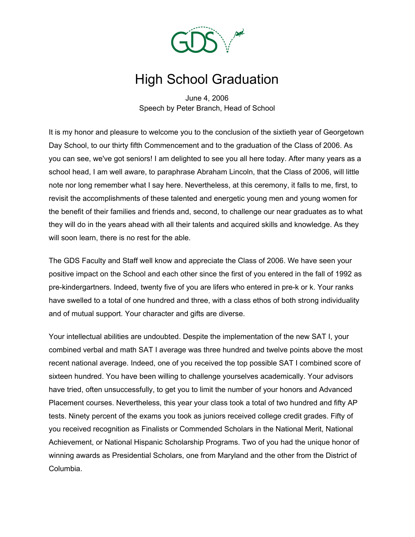

## High School Graduation

June 4, 2006 Speech by Peter Branch, Head of School

It is my honor and pleasure to welcome you to the conclusion of the sixtieth year of Georgetown Day School, to our thirty fifth Commencement and to the graduation of the Class of 2006. As you can see, we've got seniors! I am delighted to see you all here today. After many years as a school head, I am well aware, to paraphrase Abraham Lincoln, that the Class of 2006, will little note nor long remember what I say here. Nevertheless, at this ceremony, it falls to me, first, to revisit the accomplishments of these talented and energetic young men and young women for the benefit of their families and friends and, second, to challenge our near graduates as to what they will do in the years ahead with all their talents and acquired skills and knowledge. As they will soon learn, there is no rest for the able.

The GDS Faculty and Staff well know and appreciate the Class of 2006. We have seen your positive impact on the School and each other since the first of you entered in the fall of 1992 as pre-kindergartners. Indeed, twenty five of you are lifers who entered in pre-k or k. Your ranks have swelled to a total of one hundred and three, with a class ethos of both strong individuality and of mutual support. Your character and gifts are diverse.

Your intellectual abilities are undoubted. Despite the implementation of the new SAT I, your combined verbal and math SAT I average was three hundred and twelve points above the most recent national average. Indeed, one of you received the top possible SAT I combined score of sixteen hundred. You have been willing to challenge yourselves academically. Your advisors have tried, often unsuccessfully, to get you to limit the number of your honors and Advanced Placement courses. Nevertheless, this year your class took a total of two hundred and fifty AP tests. Ninety percent of the exams you took as juniors received college credit grades. Fifty of you received recognition as Finalists or Commended Scholars in the National Merit, National Achievement, or National Hispanic Scholarship Programs. Two of you had the unique honor of winning awards as Presidential Scholars, one from Maryland and the other from the District of Columbia.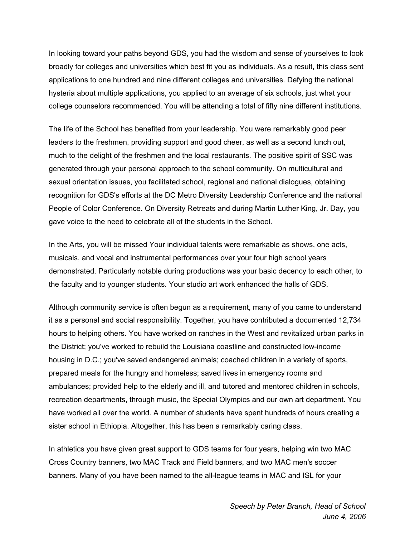In looking toward your paths beyond GDS, you had the wisdom and sense of yourselves to look broadly for colleges and universities which best fit you as individuals. As a result, this class sent applications to one hundred and nine different colleges and universities. Defying the national hysteria about multiple applications, you applied to an average of six schools, just what your college counselors recommended. You will be attending a total of fifty nine different institutions.

The life of the School has benefited from your leadership. You were remarkably good peer leaders to the freshmen, providing support and good cheer, as well as a second lunch out, much to the delight of the freshmen and the local restaurants. The positive spirit of SSC was generated through your personal approach to the school community. On multicultural and sexual orientation issues, you facilitated school, regional and national dialogues, obtaining recognition for GDS's efforts at the DC Metro Diversity Leadership Conference and the national People of Color Conference. On Diversity Retreats and during Martin Luther King, Jr. Day, you gave voice to the need to celebrate all of the students in the School.

In the Arts, you will be missed Your individual talents were remarkable as shows, one acts, musicals, and vocal and instrumental performances over your four high school years demonstrated. Particularly notable during productions was your basic decency to each other, to the faculty and to younger students. Your studio art work enhanced the halls of GDS.

Although community service is often begun as a requirement, many of you came to understand it as a personal and social responsibility. Together, you have contributed a documented 12,734 hours to helping others. You have worked on ranches in the West and revitalized urban parks in the District; you've worked to rebuild the Louisiana coastline and constructed low-income housing in D.C.; you've saved endangered animals; coached children in a variety of sports, prepared meals for the hungry and homeless; saved lives in emergency rooms and ambulances; provided help to the elderly and ill, and tutored and mentored children in schools, recreation departments, through music, the Special Olympics and our own art department. You have worked all over the world. A number of students have spent hundreds of hours creating a sister school in Ethiopia. Altogether, this has been a remarkably caring class.

In athletics you have given great support to GDS teams for four years, helping win two MAC Cross Country banners, two MAC Track and Field banners, and two MAC men's soccer banners. Many of you have been named to the all-league teams in MAC and ISL for your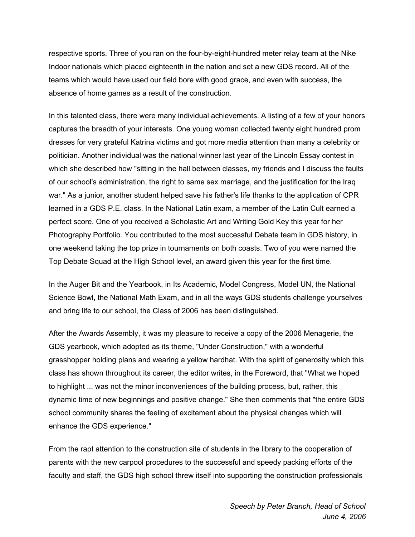respective sports. Three of you ran on the four-by-eight-hundred meter relay team at the Nike Indoor nationals which placed eighteenth in the nation and set a new GDS record. All of the teams which would have used our field bore with good grace, and even with success, the absence of home games as a result of the construction.

In this talented class, there were many individual achievements. A listing of a few of your honors captures the breadth of your interests. One young woman collected twenty eight hundred prom dresses for very grateful Katrina victims and got more media attention than many a celebrity or politician. Another individual was the national winner last year of the Lincoln Essay contest in which she described how "sitting in the hall between classes, my friends and I discuss the faults of our school's administration, the right to same sex marriage, and the justification for the Iraq war." As a junior, another student helped save his father's life thanks to the application of CPR learned in a GDS P.E. class. In the National Latin exam, a member of the Latin Cult earned a perfect score. One of you received a Scholastic Art and Writing Gold Key this year for her Photography Portfolio. You contributed to the most successful Debate team in GDS history, in one weekend taking the top prize in tournaments on both coasts. Two of you were named the Top Debate Squad at the High School level, an award given this year for the first time.

In the Auger Bit and the Yearbook, in Its Academic, Model Congress, Model UN, the National Science Bowl, the National Math Exam, and in all the ways GDS students challenge yourselves and bring life to our school, the Class of 2006 has been distinguished.

After the Awards Assembly, it was my pleasure to receive a copy of the 2006 Menagerie, the GDS yearbook, which adopted as its theme, "Under Construction," with a wonderful grasshopper holding plans and wearing a yellow hardhat. With the spirit of generosity which this class has shown throughout its career, the editor writes, in the Foreword, that "What we hoped to highlight ... was not the minor inconveniences of the building process, but, rather, this dynamic time of new beginnings and positive change." She then comments that "the entire GDS school community shares the feeling of excitement about the physical changes which will enhance the GDS experience."

From the rapt attention to the construction site of students in the library to the cooperation of parents with the new carpool procedures to the successful and speedy packing efforts of the faculty and staff, the GDS high school threw itself into supporting the construction professionals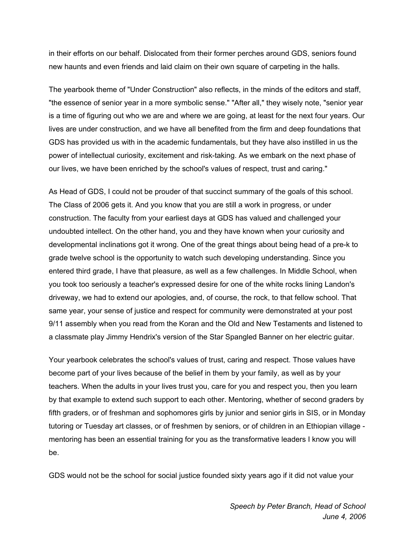in their efforts on our behalf. Dislocated from their former perches around GDS, seniors found new haunts and even friends and laid claim on their own square of carpeting in the halls.

The yearbook theme of "Under Construction" also reflects, in the minds of the editors and staff, "the essence of senior year in a more symbolic sense." "After all," they wisely note, "senior year is a time of figuring out who we are and where we are going, at least for the next four years. Our lives are under construction, and we have all benefited from the firm and deep foundations that GDS has provided us with in the academic fundamentals, but they have also instilled in us the power of intellectual curiosity, excitement and risk-taking. As we embark on the next phase of our lives, we have been enriched by the school's values of respect, trust and caring."

As Head of GDS, I could not be prouder of that succinct summary of the goals of this school. The Class of 2006 gets it. And you know that you are still a work in progress, or under construction. The faculty from your earliest days at GDS has valued and challenged your undoubted intellect. On the other hand, you and they have known when your curiosity and developmental inclinations got it wrong. One of the great things about being head of a pre-k to grade twelve school is the opportunity to watch such developing understanding. Since you entered third grade, I have that pleasure, as well as a few challenges. In Middle School, when you took too seriously a teacher's expressed desire for one of the white rocks lining Landon's driveway, we had to extend our apologies, and, of course, the rock, to that fellow school. That same year, your sense of justice and respect for community were demonstrated at your post 9/11 assembly when you read from the Koran and the Old and New Testaments and listened to a classmate play Jimmy Hendrix's version of the Star Spangled Banner on her electric guitar.

Your yearbook celebrates the school's values of trust, caring and respect. Those values have become part of your lives because of the belief in them by your family, as well as by your teachers. When the adults in your lives trust you, care for you and respect you, then you learn by that example to extend such support to each other. Mentoring, whether of second graders by fifth graders, or of freshman and sophomores girls by junior and senior girls in SIS, or in Monday tutoring or Tuesday art classes, or of freshmen by seniors, or of children in an Ethiopian village mentoring has been an essential training for you as the transformative leaders I know you will be.

GDS would not be the school for social justice founded sixty years ago if it did not value your